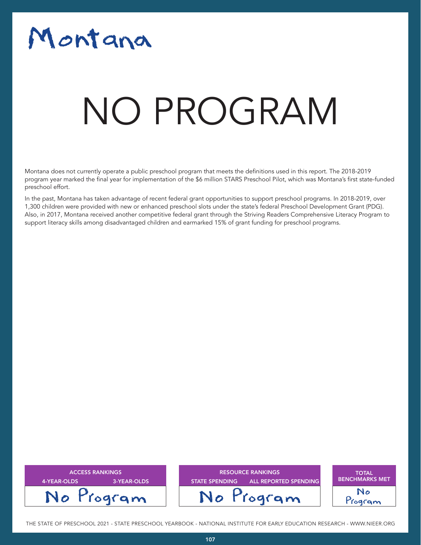# Montana

# NO PROGRAM

Montana does not currently operate a public preschool program that meets the definitions used in this report. The 2018-2019 program year marked the final year for implementation of the \$6 million STARS Preschool Pilot, which was Montana's first state-funded preschool effort.

In the past, Montana has taken advantage of recent federal grant opportunities to support preschool programs. In 2018-2019, over 1,300 children were provided with new or enhanced preschool slots under the state's federal Preschool Development Grant (PDG). Also, in 2017, Montana received another competitive federal grant through the Striving Readers Comprehensive Literacy Program to support literacy skills among disadvantaged children and earmarked 15% of grant funding for preschool programs.



THE STATE OF PRESCHOOL 2021 - STATE PRESCHOOL YEARBOOK - NATIONAL INSTITUTE FOR EARLY EDUCATION RESEARCH - WWW.NIEER.ORG